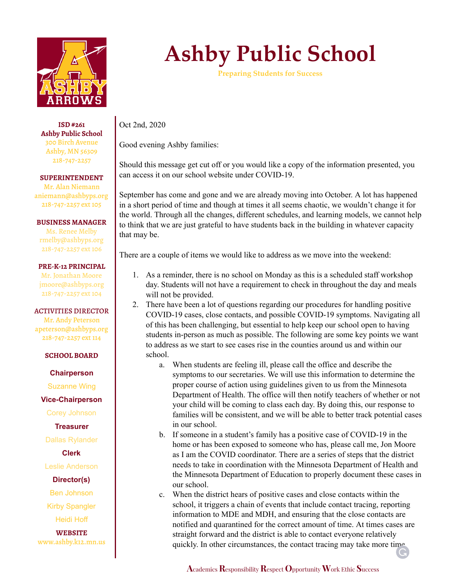

**ISD #261 Ashby Public School** 300 Birch Avenue Ashby, MN 56309 218-747-2257

**SUPERINTENDENT**

Mr. Alan Niemann aniemann@ashbyps.org 218-747-2257 ext 105

### **BUSINESS MANAGER**

Ms. Renee Melby rmelby@ashbyps.org 218-747-2257 ext 106

#### **PRE-K-12 PRINCIPAL**

Mr. Jonathan Moore jmoore@ashbyps.org 218-747-2257 ext 104

#### ACTIVITIES DIRECTOR

Mr. Andy Peterson apeterson@ashbyps.org 218-747-2257 ext 114

#### **SCHOOL BOARD**

**Chairperson**

Suzanne Wing

**Vice-Chairperson**

Corey Johnson

**Treasurer**

Dallas Rylander

**Clerk**

Leslie Anderson

## **Director(s)**

Ben Johnson

Kirby Spangler

Heidi Hoff

**WEBSITE** www.ashby.k12.mn.us

# **Ashby Public School**

**Preparing Students for Success**

Oct 2nd, 2020

Good evening Ashby families:

Should this message get cut off or you would like a copy of the information presented, you can access it on our school website under COVID-19.

September has come and gone and we are already moving into October. A lot has happened in a short period of time and though at times it all seems chaotic, we wouldn't change it for the world. Through all the changes, different schedules, and learning models, we cannot help to think that we are just grateful to have students back in the building in whatever capacity that may be.

There are a couple of items we would like to address as we move into the weekend:

- 1. As a reminder, there is no school on Monday as this is a scheduled staff workshop day. Students will not have a requirement to check in throughout the day and meals will not be provided.
- 2. There have been a lot of questions regarding our procedures for handling positive COVID-19 cases, close contacts, and possible COVID-19 symptoms. Navigating all of this has been challenging, but essential to help keep our school open to having students in-person as much as possible. The following are some key points we want to address as we start to see cases rise in the counties around us and within our school.
	- a. When students are feeling ill, please call the office and describe the symptoms to our secretaries. We will use this information to determine the proper course of action using guidelines given to us from the Minnesota Department of Health. The office will then notify teachers of whether or not your child will be coming to class each day. By doing this, our response to families will be consistent, and we will be able to better track potential cases in our school.
	- b. If someone in a student's family has a positive case of COVID-19 in the home or has been exposed to someone who has, please call me, Jon Moore as I am the COVID coordinator. There are a series of steps that the district needs to take in coordination with the Minnesota Department of Health and the Minnesota Department of Education to properly document these cases in our school.
	- c. When the district hears of positive cases and close contacts within the school, it triggers a chain of events that include contact tracing, reporting information to MDE and MDH, and ensuring that the close contacts are notified and quarantined for the correct amount of time. At times cases are straight forward and the district is able to contact everyone relatively quickly. In other circumstances, the contact tracing may take more time

**A**cademics**R**esponsibility**R**espect **O**pportunity **W**ork Ethic **S**uccess